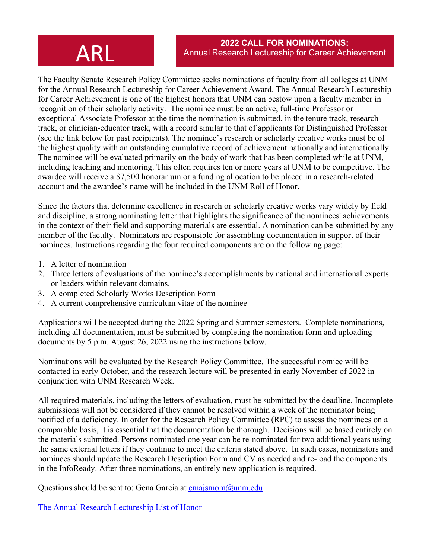The Faculty Senate Research Policy Committee seeks nominations of faculty from all colleges at UNM for the Annual Research Lectureship for Career Achievement Award. The Annual Research Lectureship for Career Achievement is one of the highest honors that UNM can bestow upon a faculty member in recognition of their scholarly activity. The nominee must be an active, full-time Professor or exceptional Associate Professor at the time the nomination is submitted, in the tenure track, research track, or clinician-educator track, with a record similar to that of applicants for Distinguished Professor (see the link below for past recipients). The nominee's research or scholarly creative works must be of the highest quality with an outstanding cumulative record of achievement nationally and internationally. The nominee will be evaluated primarily on the body of work that has been completed while at UNM, including teaching and mentoring. This often requires ten or more years at UNM to be competitive. The awardee will receive a \$7,500 honorarium or a funding allocation to be placed in a research-related account and the awardee's name will be included in the UNM Roll of Honor.

Since the factors that determine excellence in research or scholarly creative works vary widely by field and discipline, a strong nominating letter that highlights the significance of the nominees' achievements in the context of their field and supporting materials are essential. A nomination can be submitted by any member of the faculty. Nominators are responsible for assembling documentation in support of their nominees. Instructions regarding the four required components are on the following page:

- 1. A letter of nomination
- 2. Three letters of evaluations of the nominee's accomplishments by national and international experts or leaders within relevant domains.
- 3. A completed Scholarly Works Description Form
- 4. A current comprehensive curriculum vitae of the nominee

Applications will be accepted during the 2022 Spring and Summer semesters. Complete nominations, including all documentation, must be submitted by completing the nomination form and uploading documents by 5 p.m. August 26, 2022 using the instructions below.

Nominations will be evaluated by the Research Policy Committee. The successful nomiee will be contacted in early October, and the research lecture will be presented in early November of 2022 in conjunction with UNM Research Week.

All required materials, including the letters of evaluation, must be submitted by the deadline. Incomplete submissions will not be considered if they cannot be resolved within a week of the nominator being notified of a deficiency. In order for the Research Policy Committee (RPC) to assess the nominees on a comparable basis, it is essential that the documentation be thorough. Decisions will be based entirely on the materials submitted. Persons nominated one year can be re-nominated for two additional years using the same external letters if they continue to meet the criteria stated above. In such cases, nominators and nominees should update the Research Description Form and CV as needed and re-load the components in the InfoReady. After three nominations, an entirely new application is required.

Questions should be sent to: Gena Garcia at [emajsmom@unm.edu](mailto:emajsmom@unm.edu)

[The Annual Research Lectureship List of Honor](https://research.unm.edu/arl)